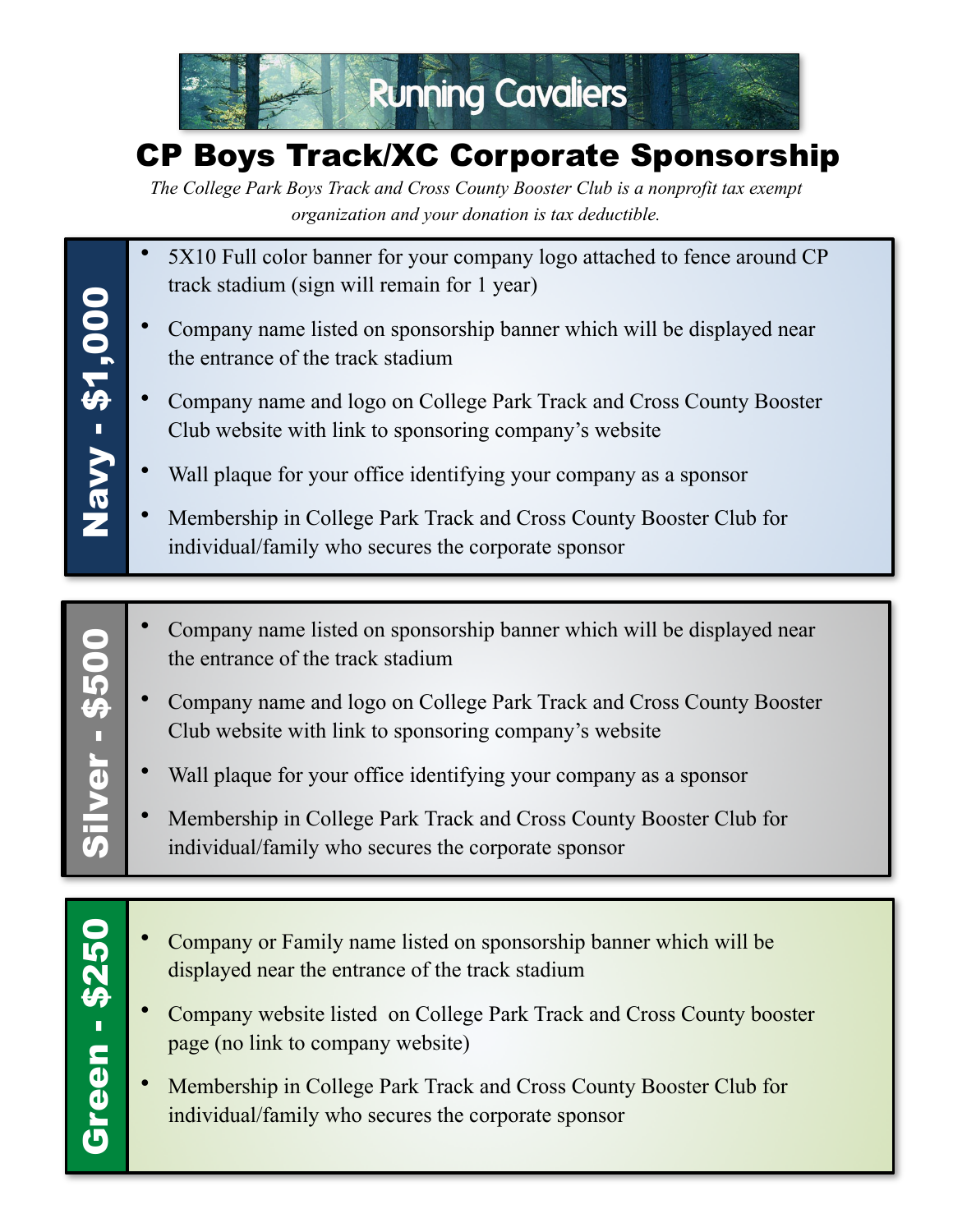

## CP Boys Track/XC Corporate Sponsorship

*The College Park Boys Track and Cross County Booster Club is a nonprofit tax exempt organization and your donation is tax deductible.*

- 5X10 Full color banner for your company logo attached to fence around CP track stadium (sign will remain for 1 year)
- Company name listed on sponsorship banner which will be displayed near the entrance of the track stadium
- Company name and logo on College Park Track and Cross County Booster Club website with link to sponsoring company's website
- Wall plaque for your office identifying your company as a sponsor
- Membership in College Park Track and Cross County Booster Club for individual/family who secures the corporate sponsor
- Company name listed on sponsorship banner which will be displayed near the entrance of the track stadium
- Company name and logo on College Park Track and Cross County Booster Club website with link to sponsoring company's website
- Wall plaque for your office identifying your company as a sponsor
- Membership in College Park Track and Cross County Booster Club for individual/family who secures the corporate sponsor
- Company or Family name listed on sponsorship banner which will be displayed near the entrance of the track stadium
- Company website listed on College Park Track and Cross County booster page (no link to company website)
- Membership in College Park Track and Cross County Booster Club for individual/family who secures the corporate sponsor

Navy - \$1,000 Green - \$250 || Silver - \$500 || Navy - \$1,000

Silver - \$500 **Silver - \$500** 

Green - \$250